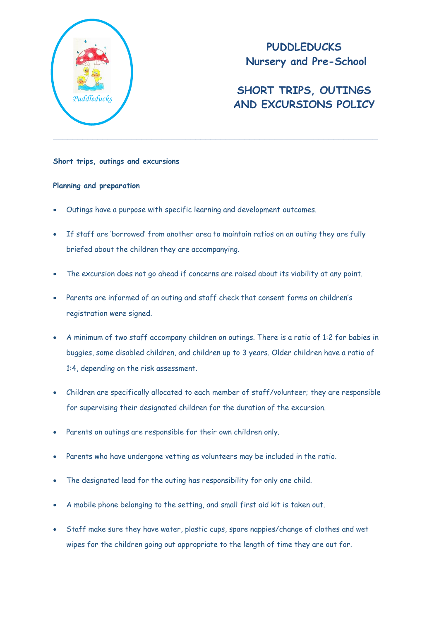

**PUDDLEDUCKS Nursery and Pre-School**

# **SHORT TRIPS, OUTINGS AND EXCURSIONS POLICY** *Puddleducks*

## **Short trips, outings and excursions**

## **Planning and preparation**

- Outings have a purpose with specific learning and development outcomes.
- If staff are 'borrowed' from another area to maintain ratios on an outing they are fully briefed about the children they are accompanying.
- The excursion does not go ahead if concerns are raised about its viability at any point.
- Parents are informed of an outing and staff check that consent forms on children's registration were signed.
- A minimum of two staff accompany children on outings. There is a ratio of 1:2 for babies in buggies, some disabled children, and children up to 3 years. Older children have a ratio of 1:4, depending on the risk assessment.
- Children are specifically allocated to each member of staff/volunteer; they are responsible for supervising their designated children for the duration of the excursion.
- Parents on outings are responsible for their own children only.
- Parents who have undergone vetting as volunteers may be included in the ratio.
- The designated lead for the outing has responsibility for only one child.
- A mobile phone belonging to the setting, and small first aid kit is taken out.
- Staff make sure they have water, plastic cups, spare nappies/change of clothes and wet wipes for the children going out appropriate to the length of time they are out for.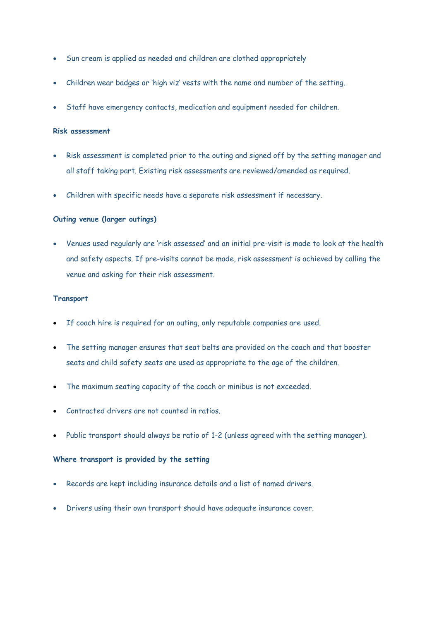- Sun cream is applied as needed and children are clothed appropriately
- Children wear badges or 'high viz' vests with the name and number of the setting.
- Staff have emergency contacts, medication and equipment needed for children.

### **Risk assessment**

- Risk assessment is completed prior to the outing and signed off by the setting manager and all staff taking part. Existing risk assessments are reviewed/amended as required.
- Children with specific needs have a separate risk assessment if necessary.

## **Outing venue (larger outings)**

 Venues used regularly are 'risk assessed' and an initial pre-visit is made to look at the health and safety aspects. If pre-visits cannot be made, risk assessment is achieved by calling the venue and asking for their risk assessment.

#### **Transport**

- If coach hire is required for an outing, only reputable companies are used.
- The setting manager ensures that seat belts are provided on the coach and that booster seats and child safety seats are used as appropriate to the age of the children.
- The maximum seating capacity of the coach or minibus is not exceeded.
- Contracted drivers are not counted in ratios.
- Public transport should always be ratio of 1-2 (unless agreed with the setting manager).

# **Where transport is provided by the setting**

- Records are kept including insurance details and a list of named drivers.
- Drivers using their own transport should have adequate insurance cover.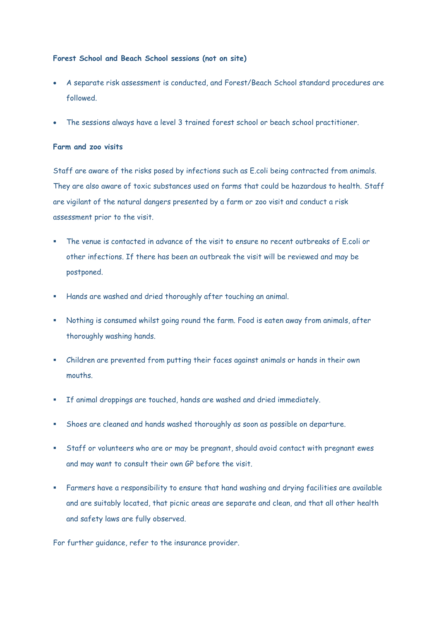## **Forest School and Beach School sessions (not on site)**

- A separate risk assessment is conducted, and Forest/Beach School standard procedures are followed.
- The sessions always have a level 3 trained forest school or beach school practitioner.

## **Farm and zoo visits**

Staff are aware of the risks posed by infections such as E.coli being contracted from animals. They are also aware of toxic substances used on farms that could be hazardous to health. Staff are vigilant of the natural dangers presented by a farm or zoo visit and conduct a risk assessment prior to the visit.

- The venue is contacted in advance of the visit to ensure no recent outbreaks of E.coli or other infections. If there has been an outbreak the visit will be reviewed and may be postponed.
- Hands are washed and dried thoroughly after touching an animal.
- Nothing is consumed whilst going round the farm. Food is eaten away from animals, after thoroughly washing hands.
- Children are prevented from putting their faces against animals or hands in their own mouths.
- If animal droppings are touched, hands are washed and dried immediately.
- Shoes are cleaned and hands washed thoroughly as soon as possible on departure.
- Staff or volunteers who are or may be pregnant, should avoid contact with pregnant ewes and may want to consult their own GP before the visit.
- Farmers have a responsibility to ensure that hand washing and drying facilities are available and are suitably located, that picnic areas are separate and clean, and that all other health and safety laws are fully observed.

For further guidance, refer to the insurance provider.